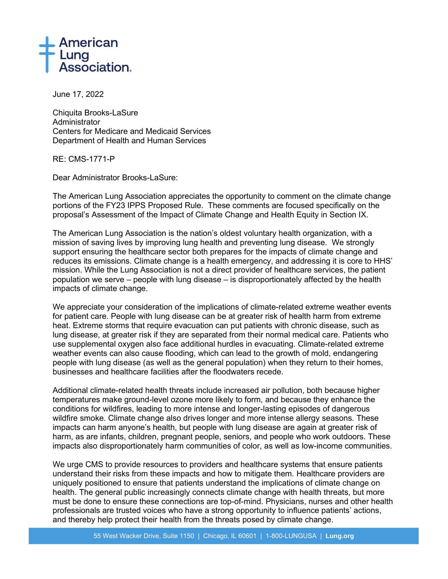

June 17, 2022

Chiquita Brooks-LaSure **Administrator** Centers for Medicare and Medicaid Services Department of Health and Human Services

RE: CMS-1771-P

Dear Administrator Brooks-LaSure:

The American Lung Association appreciates the opportunity to comment on the climate change portions of the FY23 IPPS Proposed Rule. These comments are focused specifically on the proposal's Assessment of the Impact of Climate Change and Health Equity in Section IX.

The American Lung Association is the nation's oldest voluntary health organization, with a mission of saving lives by improving lung health and preventing lung disease. We strongly support ensuring the healthcare sector both prepares for the impacts of climate change and reduces its emissions. Climate change is a health emergency, and addressing it is core to HHS' mission. While the Lung Association is not a direct provider of healthcare services, the patient population we serve – people with lung disease – is disproportionately affected by the health impacts of climate change.

We appreciate your consideration of the implications of climate-related extreme weather events for patient care. People with lung disease can be at greater risk of health harm from extreme heat. Extreme storms that require evacuation can put patients with chronic disease, such as lung disease, at greater risk if they are separated from their normal medical care. Patients who use supplemental oxygen also face additional hurdles in evacuating. Climate-related extreme weather events can also cause flooding, which can lead to the growth of mold, endangering people with lung disease (as well as the general population) when they return to their homes, businesses and healthcare facilities after the floodwaters recede.

Additional climate-related health threats include increased air pollution, both because higher temperatures make ground-level ozone more likely to form, and because they enhance the conditions for wildfires, leading to more intense and longer-lasting episodes of dangerous wildfire smoke. Climate change also drives longer and more intense allergy seasons. These impacts can harm anyone's health, but people with lung disease are again at greater risk of harm, as are infants, children, pregnant people, seniors, and people who work outdoors. These impacts also disproportionately harm communities of color, as well as low-income communities.

We urge CMS to provide resources to providers and healthcare systems that ensure patients understand their risks from these impacts and how to mitigate them. Healthcare providers are uniquely positioned to ensure that patients understand the implications of climate change on health. The general public increasingly connects climate change with health threats, but more must be done to ensure these connections are top-of-mind. Physicians, nurses and other health professionals are trusted voices who have a strong opportunity to influence patients' actions, and thereby help protect their health from the threats posed by climate change.